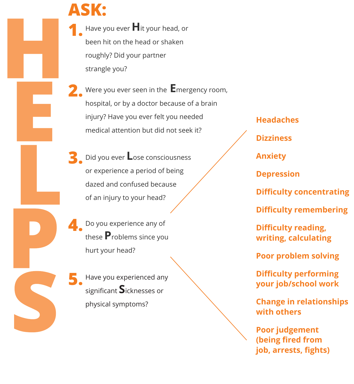## **ASK: 1.**

Have you ever **H**it your head, or been hit on the head or shaken roughly? Did your partner strangle you?

**2.** Were you ever seen in the **E**mergency room, hospital, or by a doctor because of a brain injury? Have you ever felt you needed medical attention but did not seek it?

Did you ever **L**ose consciousness or experience a period of being dazed and confused because of an injury to your head? **3.**

**4.** Do you experience any of these **P**roblems since you hurt your head?

**5.** Have you experienced any significant **S**icknesses or physical symptoms?

## **Headaches**

**Dizziness**

**Anxiety**

**Depression**

**Difficulty concentrating**

**Difficulty remembering**

**Difficulty reading, writing, calculating**

**Poor problem solving** 

**Difficulty performing your job/school work** 

**Change in relationships with others**

**Poor judgement (being fired from job, arrests, fights)**